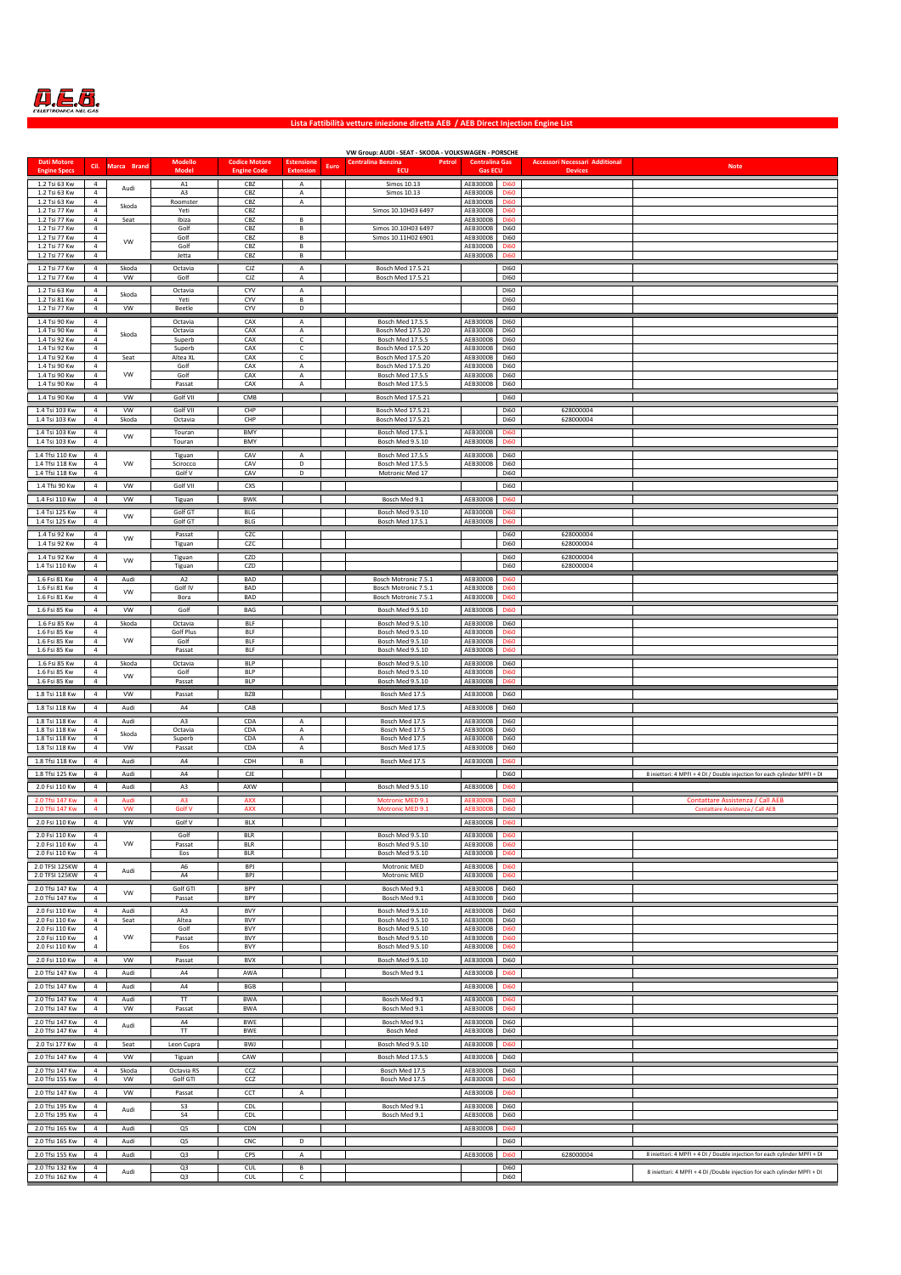

## **Lista Fattibilità vetture iniezione diretta AEB / AEB Direct Injection Engine List**

| <b>Dati Motore</b>                 |                                  |                    | Modello             | <b>Codice Motore</b>     | <b>Estensione</b> |      | VW Group: AUDI - SEAT - SKODA - VOLKSWAGEN - PORSCHE<br>Petrol<br>Centralina Benzina | <b>Centralina Gas</b> |                                 | <b>Accessori Necessari Additional</b> |                                                                           |
|------------------------------------|----------------------------------|--------------------|---------------------|--------------------------|-------------------|------|--------------------------------------------------------------------------------------|-----------------------|---------------------------------|---------------------------------------|---------------------------------------------------------------------------|
| <b>Engine Specs</b>                | Cil.                             | Marca Brand        | <b>Mode</b>         | <b>Engine Code</b>       | <b>Extension</b>  | Euro | ECU                                                                                  | <b>Gas ECU</b>        |                                 | <b>Devices</b>                        | <b>Note</b>                                                               |
| 1.2 Tsi 63 Kw                      | $\overline{4}$<br>$\overline{4}$ | Audi               | A1                  | CBZ                      | $\overline{A}$    |      | Simos 10.13                                                                          | AEB3000B              | <b>Di60</b><br>D <sub>i60</sub> |                                       |                                                                           |
| 1.2 Tsi 63 Kw<br>1.2 Tsi 63 Kw     | 4                                | Skoda              | A3<br>Roomster      | CBZ<br>CBZ               | Α<br>Α            |      | Simos 10.13                                                                          | AEB3000B<br>AEB3000B  | <b>Di60</b>                     |                                       |                                                                           |
| 1.2 Tsi 77 Kw<br>1.2 Tsi 77 Kw     | 4<br>4                           | Seat               | Yeti<br>Ibiza       | CBZ<br>CBZ               | В                 |      | Simos 10.10H03 6497                                                                  | AEB3000B<br>AEB3000B  | <b>Di60</b><br><b>Di60</b>      |                                       |                                                                           |
| 1.2 Tsi 77 Kw                      | 4                                |                    | Golf                | CBZ                      | В                 |      | Simos 10.10H03 6497                                                                  | AEB3000B              | <b>Di60</b>                     |                                       |                                                                           |
| 1.2 Tsi 77 Kw<br>1.2 Tsi 77 Kw     | $\overline{4}$<br>$\overline{4}$ | VW                 | Golf<br>Golf        | CBZ<br>CBZ               | В<br>в            |      | Simos 10.11H02 6901                                                                  | AEB3000B<br>AEB3000B  | <b>Di60</b><br><b>Di60</b>      |                                       |                                                                           |
| 1.2 Tsi 77 Kw                      | $\overline{4}$                   |                    | Jetta               | CBZ                      | В                 |      |                                                                                      | AEB3000B              | <b>Di60</b>                     |                                       |                                                                           |
| 1.2 Tsi 77 Kw                      | $\overline{4}$                   | Skoda              | Octavia             | CJZ                      | А                 |      | Bosch Med 17.5.21                                                                    |                       | D160                            |                                       |                                                                           |
| 1.2 Tsi 77 Kw                      | $\overline{4}$                   | <b>VW</b>          | Golf                | CJZ                      | A                 |      | Bosch Med 17.5.21                                                                    |                       | D160                            |                                       |                                                                           |
| 1.2 Tsi 63 Kw<br>1.2 Tsi 81 Kw     | 4<br>$\overline{4}$              | Skoda              | Octavia<br>Yeti     | CYV<br>CYV               | А<br>B            |      |                                                                                      |                       | D160<br>D160                    |                                       |                                                                           |
| 1.2 Tsi 77 Kw                      | $\overline{4}$                   | <b>VW</b>          | Beetle              | CYV                      | D                 |      |                                                                                      |                       | D160                            |                                       |                                                                           |
| 1.4 Tsi 90 Kw                      | 4                                |                    | Octavia             | CAX                      | Α                 |      | Bosch Med 17.5.5                                                                     | AEB3000B              | D160                            |                                       |                                                                           |
| 1.4 Tsi 90 Kw<br>1.4 Tsi 92 Kw     | 4<br>4                           | Skoda              | Octavia<br>Superb   | CAX<br>CAX               | А<br>$\mathsf{C}$ |      | Bosch Med 17.5.20<br>Bosch Med 17.5.5                                                | AEB3000B<br>AEB3000B  | DI60<br>D160                    |                                       |                                                                           |
| 1.4 Tsi 92 Kw                      | $\overline{4}$                   |                    | Superb              | CAX                      | $\mathsf{C}$      |      | Bosch Med 17.5.20                                                                    | AEB3000B              | D160                            |                                       |                                                                           |
| 1.4 Tsi 92 Kw<br>1.4 Tsi 90 Kw     | 4<br>$\overline{4}$              | Seat               | Altea XL<br>Golf    | CAX<br>CAX               | $\mathsf{C}$<br>A |      | Bosch Med 17.5.20<br>Bosch Med 17.5.20                                               | AEB3000B<br>AEB3000B  | <b>Di60</b><br><b>Di60</b>      |                                       |                                                                           |
| 1.4 Tsi 90 Kw                      | $\overline{4}$                   | <b>VW</b>          | Golf                | CAX                      | A                 |      | Bosch Med 17.5.5                                                                     | AEB3000B              | <b>Di60</b>                     |                                       |                                                                           |
| 1.4 Tsi 90 Kw                      | $\sqrt{4}$                       |                    | Passat              | CAX                      | $\overline{A}$    |      | Bosch Med 17.5.5                                                                     | AEB3000B              | <b>Di60</b>                     |                                       |                                                                           |
| 1.4 Tsi 90 Kw                      | 4                                | VW                 | Golf VII            | CMB                      |                   |      | Bosch Med 17.5.21                                                                    |                       | Di60                            |                                       |                                                                           |
| 1.4 Tsi 103 Kw<br>1.4 Tsi 103 Kw   | 4<br>$\overline{4}$              | <b>VW</b><br>Skoda | Golf VII<br>Octavia | CHP<br>CHP               |                   |      | Bosch Med 17.5.21<br>Bosch Med 17.5.21                                               |                       | Di60<br>Di60                    | 628000004<br>628000004                |                                                                           |
| 1.4 Tsi 103 Kw                     | 4                                | <b>VW</b>          | Touran              | BMY                      |                   |      | Bosch Med 17.5.1                                                                     | AEB3000B              | <b>Di60</b>                     |                                       |                                                                           |
| 1.4 Tsi 103 Kw                     | $\overline{4}$                   |                    | Touran              | BMY                      |                   |      | Bosch Med 9.5.10                                                                     | AEB3000B              | <b>Di60</b>                     |                                       |                                                                           |
| 1.4 Tfsi 110 Kw<br>1.4 Tfsi 118 Kw | 4<br>$\overline{4}$              | <b>VW</b>          | Tiguan<br>Scirocco  | CAV<br>CAV               | Α<br>D            |      | Bosch Med 17.5.5<br><b>Bosch Med 17.5.5</b>                                          | AEB3000B<br>AEB3000B  | Di60<br><b>Di60</b>             |                                       |                                                                           |
| 1.4 Tfsi 118 Kw                    | $\overline{4}$                   |                    | Golf V              | CAV                      | D                 |      | Motronic Med 17                                                                      |                       | <b>Di60</b>                     |                                       |                                                                           |
| 1.4 Tfsi 90 Kw                     | $\overline{4}$                   | VW                 | Golf VII            | CXS                      |                   |      |                                                                                      |                       | Di60                            |                                       |                                                                           |
| 1.4 Fsi 110 Kw                     | $\overline{4}$                   | VW                 | Tiguan              | <b>BWK</b>               |                   |      | Bosch Med 9.1                                                                        | AEB3000B              | <b>Di60</b>                     |                                       |                                                                           |
| 1.4 Tsi 125 Kw                     | 4                                | VW                 | Golf GT             | BLG                      |                   |      | Bosch Med 9.5.10                                                                     | AEB3000B              | <b>Di60</b>                     |                                       |                                                                           |
| 1.4 Tsi 125 Kw                     | $\it 4$                          |                    | Golf GT             | BLG                      |                   |      | Bosch Med 17.5.1                                                                     | AEB3000B              | <b>Di60</b>                     |                                       |                                                                           |
| 1.4 Tsi 92 Kw<br>1.4 Tsi 92 Kw     | 4<br>$\overline{4}$              | <b>VW</b>          | Passat<br>Tiguan    | CZC<br>CZC               |                   |      |                                                                                      |                       | <b>Di60</b><br><b>Di60</b>      | 628000004<br>628000004                |                                                                           |
| 1.4 Tsi 92 Kw                      | $\overline{4}$                   |                    | Tiguan              | CZD                      |                   |      |                                                                                      |                       | <b>Di60</b>                     | 628000004                             |                                                                           |
| 1.4 Tsi 110 Kw                     | $\overline{4}$                   | <b>VW</b>          | Tiguan              | CZD                      |                   |      |                                                                                      |                       | <b>Di60</b>                     | 628000004                             |                                                                           |
| 1.6 Fsi 81 Kw                      | 4                                | Audi               | A <sub>2</sub>      | BAD                      |                   |      | Bosch Motronic 7.5.1                                                                 | AEB3000B              | <b>Di60</b>                     |                                       |                                                                           |
| 1.6 Fsi 81 Kw<br>1.6 Fsi 81 Kw     | 4<br>$\overline{4}$              | VW                 | Golf IV<br>Bora     | BAD<br>BAD               |                   |      | Bosch Motronic 7.5.1<br>Bosch Motronic 7.5.1                                         | AEB3000B<br>AEB3000B  | <b>Di60</b><br><b>Di60</b>      |                                       |                                                                           |
| 1.6 Fsi 85 Kw                      | 4                                | VW                 | Golf                | BAG                      |                   |      | Bosch Med 9.5.10                                                                     | AEB3000B              | <b>Di60</b>                     |                                       |                                                                           |
| 1.6 Fsi 85 Kw                      | 4                                | Skoda              | Octavia             | BLF                      |                   |      | Bosch Med 9.5.10                                                                     | AEB3000B              | <b>Di60</b>                     |                                       |                                                                           |
| 1.6 Fsi 85 Kw                      | 4                                |                    | Golf Plus           | <b>BLF</b>               |                   |      | Bosch Med 9.5.10                                                                     | AEB3000B              | <b>Di60</b>                     |                                       |                                                                           |
| 1.6 Fsi 85 Kw<br>1.6 Fsi 85 Kw     | $\overline{4}$<br>$\overline{4}$ | VW                 | Golf<br>Passat      | <b>BLF</b><br><b>BLF</b> |                   |      | Bosch Med 9.5.10<br>Bosch Med 9.5.10                                                 | AEB3000B<br>AEB3000B  | <b>Di60</b><br><b>Di60</b>      |                                       |                                                                           |
| 1.6 Fsi 85 Kw                      | 4                                | Skoda              | Octavia             | <b>BLP</b>               |                   |      | Bosch Med 9.5.10                                                                     | AEB3000B              | <b>Di60</b>                     |                                       |                                                                           |
| 1.6 Fsi 85 Kw                      | 4                                | VW                 | Golf                | <b>BLP</b>               |                   |      | Bosch Med 9.5.10                                                                     | AEB3000B              | <b>Di60</b>                     |                                       |                                                                           |
| 1.6 Fsi 85 Kw                      | $\overline{4}$                   |                    | Passat              | <b>BLP</b>               |                   |      | Bosch Med 9.5.10                                                                     | AEB3000B              | <b>Di60</b>                     |                                       |                                                                           |
| 1.8 Tsi 118 Kw                     | 4                                | VW                 | Passat              | <b>BZB</b>               |                   |      | Bosch Med 17.5                                                                       | AEB3000B              | <b>Di60</b>                     |                                       |                                                                           |
| 1.8 Tsi 118 Kw                     | $\overline{4}$<br>$\overline{4}$ | Audi<br>Audi       | A4<br>A3            | CAB<br>CDA               | $\overline{A}$    |      | Bosch Med 17.5                                                                       | AEB3000B<br>AEB3000B  | <b>Di60</b><br><b>Di60</b>      |                                       |                                                                           |
| 1.8 Tsi 118 Kw<br>1.8 Tsi 118 Kw   | $\sqrt{4}$                       | Skoda              | Octavia             | CDA                      | A                 |      | Bosch Med 17.5<br>Bosch Med 17.5                                                     | AEB3000B              | <b>Di60</b>                     |                                       |                                                                           |
| 1.8 Tsi 118 Kw<br>1.8 Tsi 118 Kw   | $\overline{4}$<br>$\overline{4}$ | <b>VW</b>          | Superb<br>Passat    | CDA<br>CDA               | А<br>A            |      | Bosch Med 17.5<br>Bosch Med 17.5                                                     | AEB3000B<br>AEB3000B  | <b>Di60</b><br><b>Di60</b>      |                                       |                                                                           |
| 1.8 Tfsi 118 Kw                    | $\overline{4}$                   | Audi               | A4                  | CDH                      | B                 |      | Bosch Med 17.5                                                                       | AEB3000B              | <b>Di60</b>                     |                                       |                                                                           |
| 1.8 Tfsi 125 Kw                    | 4                                | Audi               | A4                  | CJE                      |                   |      |                                                                                      |                       | Di60                            |                                       | 8 iniettori: 4 MPFI + 4 DI / Double injection for each cylinder MPFI + DI |
| 2.0 Fsi 110 Kw                     | 4                                | Audi               | A3                  | AXW                      |                   |      | Bosch Med 9.5.10                                                                     | AEB3000B              | <b>Di60</b>                     |                                       |                                                                           |
| 2.0 Tfsi 147 Kw                    | 4                                | Audi               | A3                  | <b>AXX</b>               |                   |      | Motronic MED 9.1                                                                     | AEB30008              | <b>Di60</b>                     |                                       | Contattare Assistenza / Call AEB                                          |
| 2.0 Tfsi 147 Kw                    | 4                                | VW                 | Golf V              | <b>AXX</b>               |                   |      | Motronic MED 9.1                                                                     | AEB3000B              | Di <sub>60</sub>                |                                       | Contattare Assistenza / Call AEE                                          |
| 2.0 Fsi 110 Kw                     | $\overline{4}$                   | <b>VW</b>          | Golf V              | BLX                      |                   |      |                                                                                      | AEB3000B              | <b>Di60</b>                     |                                       |                                                                           |
| 2.0 Fsi 110 Kw                     | 4                                | VW                 | Golf                | <b>BLR</b>               |                   |      | Bosch Med 9.5.10                                                                     | AEB3000B<br>AEB3000B  | <b>Di60</b>                     |                                       |                                                                           |
| 2.0 Fsi 110 Kw<br>2.0 Fsi 110 Kw   | $\overline{4}$<br>$\overline{4}$ |                    | Passat<br>Eos       | <b>BLR</b><br><b>BLR</b> |                   |      | Bosch Med 9.5.10<br>Bosch Med 9.5.10                                                 | AEB3000B              | <b>Di60</b><br><b>Di60</b>      |                                       |                                                                           |
| 2.0 TFSI 125KW                     | $\overline{4}$                   | Audi               | A6                  | BPJ                      |                   |      | Motronic MED                                                                         | AEB3000B              | <b>Di60</b>                     |                                       |                                                                           |
| 2.0 TFSI 125KW                     | 4                                |                    | A4                  | BPJ                      |                   |      | Motronic MED                                                                         | AEB3000B              | <b>Di60</b>                     |                                       |                                                                           |
| 2.0 Tfsi 147 Kw<br>2.0 Tfsi 147 Kw | $\overline{4}$<br>$\overline{4}$ | <b>VW</b>          | Golf GTI<br>Passat  | BPY<br>BPY               |                   |      | Bosch Med 9.1<br>Bosch Med 9.1                                                       | AEB3000B<br>AEB3000B  | <b>Di60</b><br><b>Di60</b>      |                                       |                                                                           |
| 2.0 Fsi 110 Kw                     | $\overline{4}$                   | Audi               | A3                  | <b>BVY</b>               |                   |      | Bosch Med 9.5.10                                                                     | AEB3000B              | <b>Di60</b>                     |                                       |                                                                           |
| 2.0 Fsi 110 Kw                     | $\sqrt{4}$                       | Seat               | Altea               | <b>BVY</b>               |                   |      | Bosch Med 9.5.10                                                                     | AEB3000B              | Di60                            |                                       |                                                                           |
| 2.0 Fsi 110 Kw<br>2.0 Fsi 110 Kw   | 4<br>4                           | VW                 | Golf<br>Passat      | <b>BVY</b><br><b>BVY</b> |                   |      | Bosch Med 9.5.10<br>Bosch Med 9.5.10                                                 | AEB3000B<br>AEB3000B  | <b>Di60</b><br><b>Di60</b>      |                                       |                                                                           |
| 2.0 Fsi 110 Kw                     | 4                                |                    | Eos                 | <b>BVY</b>               |                   |      | Bosch Med 9.5.10                                                                     | AEB3000B              | <b>Di60</b>                     |                                       |                                                                           |
| 2.0 Fsi 110 Kw                     | 4                                | VW                 | Passat              | <b>BVX</b>               |                   |      | Bosch Med 9.5.10                                                                     | AEB3000B Di60         |                                 |                                       |                                                                           |
| 2.0 Tfsi 147 Kw                    | $\overline{4}$                   | Audi               | A4                  | AWA                      |                   |      | Bosch Med 9.1                                                                        | AEB3000B              | <b>Di60</b>                     |                                       |                                                                           |
| 2.0 Tfsi 147 Kw                    | 4                                | Audi               | A4                  | BGB                      |                   |      |                                                                                      | AEB3000B              | <b>Di60</b>                     |                                       |                                                                           |
| 2.0 Tfsi 147 Kw                    | 4                                | Audi               | TT                  | <b>BWA</b>               |                   |      | Bosch Med 9.1                                                                        | AEB3000B              | <b>Di60</b>                     |                                       |                                                                           |
| 2.0 Tfsi 147 Kw<br>2.0 Tfsi 147 Kw | $\overline{4}$<br>4              | <b>VW</b>          | Passat<br>A4        | <b>BWA</b><br>BWE        |                   |      | Bosch Med 9.1<br>Bosch Med 9.1                                                       | AEB3000B<br>AEB3000B  | <b>Di60</b><br><b>Di60</b>      |                                       |                                                                           |
| 2.0 Tfsi 147 Kw                    | 4                                | Audi               | TT                  | BWE                      |                   |      | Bosch Med                                                                            | AEB3000B              | Di60                            |                                       |                                                                           |
| 2.0 Tsi 177 Kw                     | 4                                | Seat               | Leon Cupra          | BWJ                      |                   |      | Bosch Med 9.5.10                                                                     | AEB3000B              | <b>Di60</b>                     |                                       |                                                                           |
| 2.0 Tfsi 147 Kw                    | 4                                | VW                 | Tiguan              | CAW                      |                   |      | Bosch Med 17.5.5                                                                     | AEB3000B              | Di60                            |                                       |                                                                           |
| 2.0 Tfsi 147 Kw                    | 4                                | Skoda              | Octavia RS          | CCZ                      |                   |      | Bosch Med 17.5                                                                       | AEB3000B              | <b>Di60</b>                     |                                       |                                                                           |
| 2.0 Tfsi 155 Kw                    | $\it 4$                          | VW                 | Golf GTI            | ccz                      |                   |      | Bosch Med 17.5                                                                       | AEB3000B              | Di <sub>60</sub>                |                                       |                                                                           |
| 2.0 Tfsi 147 Kw                    | $\overline{4}$                   | <b>VW</b>          | Passat              | CCT                      | $\overline{A}$    |      |                                                                                      | AEB3000B              | <b>Di60</b>                     |                                       |                                                                           |
| 2.0 Tfsi 195 Kw<br>2.0 Tfsi 195 Kw | $\overline{4}$<br>$\overline{4}$ | Audi               | S3<br>S4            | CDL<br>CDL               |                   |      | Bosch Med 9.1<br>Bosch Med 9.1                                                       | AEB3000B<br>AEB3000B  | <b>Di60</b><br><b>Di60</b>      |                                       |                                                                           |
| 2.0 Tfsi 165 Kw                    | 4                                | Audi               | Q5                  | CDN                      |                   |      |                                                                                      | AEB3000B              | <b>Di60</b>                     |                                       |                                                                           |
| 2.0 Tfsi 165 Kw                    | $\overline{4}$                   | Audi               | Q5                  | CNC                      | D                 |      |                                                                                      |                       | Di60                            |                                       |                                                                           |
| 2.0 Tfsi 155 Kw                    | $\overline{4}$                   | Audi               | Q <sub>3</sub>      | CPS                      | A                 |      |                                                                                      | AEB3000B              | <b>Di60</b>                     | 628000004                             | 8 iniettori: 4 MPFI + 4 DI / Double injection for each cylinder MPFI + DI |
| 2.0 Tfsi 132 Kw                    | 4                                |                    | Q3                  | CUL                      | B                 |      |                                                                                      |                       | Di60                            |                                       |                                                                           |
| 2.0 Tfsi 162 Kw                    | $\overline{4}$                   | Audi               | Q3                  | CUL                      | c                 |      |                                                                                      |                       | <b>Di60</b>                     |                                       | 8 iniettori: 4 MPFI + 4 DI /Double injection for each cylinder MPFI + DI  |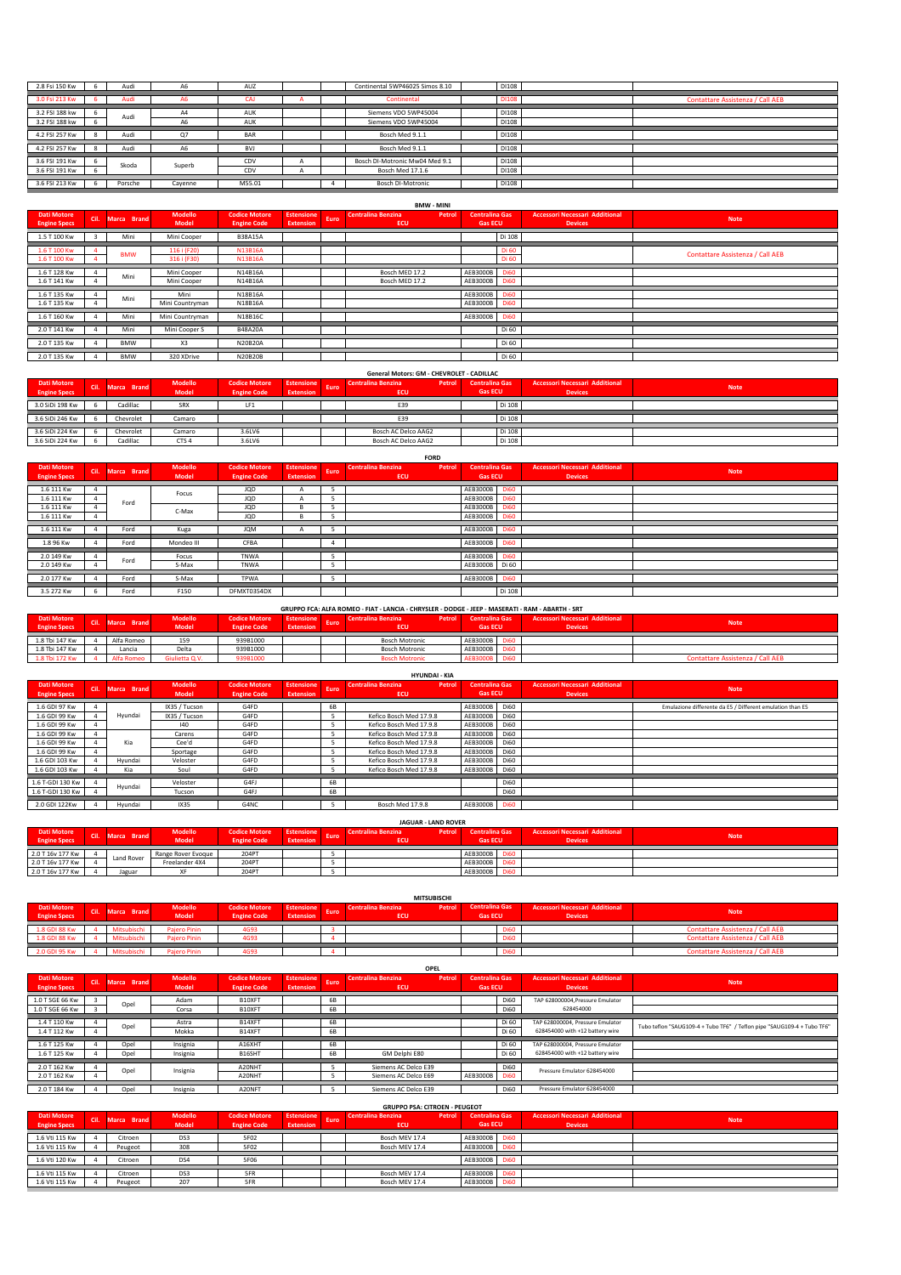| 2.8 Fsi 150 Kw | Audi    | A6             | AUZ        |  | Continental 5WP46025 Simos 8.10 | DI108 |                                  |
|----------------|---------|----------------|------------|--|---------------------------------|-------|----------------------------------|
| 3.0 Fsi 213 Kw | Audi    | A6             | CAJ        |  | Continental                     | DI108 | Contattare Assistenza / Call AEB |
| 3.2 FSI 188 kw | Audi    | A4             | AUK        |  | Siemens VDO 5WP45004            | D1108 |                                  |
| 3.2 FSI 188 kw |         | A <sub>6</sub> | AUK        |  | Siemens VDO 5WP45004            | D1108 |                                  |
| 4.2 FSI 257 Kw | Audi    | O <sub>7</sub> | BAR        |  | Bosch Med 9.1.1                 | D1108 |                                  |
| 4.2 FSI 257 Kw | Audi    | A <sub>6</sub> | <b>BVJ</b> |  | Bosch Med 9.1.1                 | DI108 |                                  |
| 3.6 FSI 191 Kw | Skoda   |                | CDV        |  | Bosch DI-Motronic Mw04 Med 9.1  | D1108 |                                  |
| 3.6 FSI 191 Kw |         | Superb         | CDV        |  | Bosch Med 17.1.6                | DI108 |                                  |
| 3.6 FSI 213 Kw | Porsche | Cavenne        | M55.01     |  | <b>Bosch DI-Motronic</b>        | DI108 |                                  |

|                                           | <b>BMW - MINI</b> |             |                            |                                            |                                       |      |                                            |                                         |                            |                                                         |                                  |  |  |  |
|-------------------------------------------|-------------------|-------------|----------------------------|--------------------------------------------|---------------------------------------|------|--------------------------------------------|-----------------------------------------|----------------------------|---------------------------------------------------------|----------------------------------|--|--|--|
| <b>Dati Motore</b><br><b>Engine Specs</b> | k cil.            | Marca Brand | Modello<br><b>Model</b>    | <b>Codice Motore</b><br><b>Engine Code</b> | <b>Estensione</b><br><b>Extension</b> | Euro | Centralina Benzina<br>Petrol<br><b>ECU</b> | <b>Centralina Gas</b><br><b>Gas ECU</b> |                            | <b>Accessori Necessari Additional</b><br><b>Devices</b> | <b>Note</b>                      |  |  |  |
| 1.5 T 100 Kw                              |                   | Mini        | Mini Cooper                | <b>B38A15A</b>                             |                                       |      |                                            |                                         | Di 108                     |                                                         |                                  |  |  |  |
| 1.6 T 100 Kw<br>1.6 T 100 Kw              |                   | <b>BMW</b>  | 116 i (F20)<br>316 i (F30) | N13B16A<br>N13B16A                         |                                       |      |                                            |                                         | Di 60<br>Di 60             |                                                         | Contattare Assistenza / Call AEB |  |  |  |
| 1.6 T 128 Kw<br>1.6 T 141 Kw              |                   | Mini        | Mini Cooper<br>Mini Cooper | N14B16A<br>N14B16A                         |                                       |      | Bosch MED 17.2<br>Bosch MED 17.2           | AEB3000B<br>AEB3000B Di60               | <b>Di60</b>                |                                                         |                                  |  |  |  |
| 1.6 T 135 Kw<br>1.6 T 135 Kw              |                   | Mini        | Mini<br>Mini Countryman    | N18B16A<br>N18B16A                         |                                       |      |                                            | AEB3000B<br>AEB3000B                    | <b>Di60</b><br><b>Di60</b> |                                                         |                                  |  |  |  |
| 1.6 T 160 Kw                              |                   | Mini        | Mini Countryman            | N18B16C                                    |                                       |      |                                            | AEB3000B                                | <b>Di60</b>                |                                                         |                                  |  |  |  |
| 2.0 T 141 Kw                              |                   | Mini        | Mini Cooper S              | B48A20A                                    |                                       |      |                                            |                                         | Di 60                      |                                                         |                                  |  |  |  |
| 2.0 T 135 Kw                              |                   | <b>BMW</b>  | X <sub>3</sub>             | N20B20A                                    |                                       |      |                                            |                                         | Di 60                      |                                                         |                                  |  |  |  |
| 2.0 T 135 Kw                              |                   | <b>BMW</b>  | 320 XDrive                 | <b>N20B20B</b>                             |                                       |      |                                            |                                         | Di 60                      |                                                         |                                  |  |  |  |

| <b>Dati Motore</b>  | Cil. | Marca Brand | Modello          | <b>Codice Motore</b> | <b>Estensione</b> | Euro | Centralina Benzina<br>Petrol | <b>Centralina Gas</b> | <b>Accessori Necessari Additional</b> | <b>Note</b> |
|---------------------|------|-------------|------------------|----------------------|-------------------|------|------------------------------|-----------------------|---------------------------------------|-------------|
| <b>Engine Specs</b> |      |             | Model            | <b>Engine Code</b>   | <b>Extension</b>  |      | ECU                          | <b>Gas ECU</b>        | <b>Devices</b>                        |             |
| 3.0 SiDi 198 Kw     |      | Cadillac    | SRX              | LF <sub>1</sub>      |                   |      | E39                          | Di 108                |                                       |             |
| 3.6 SiDi 246 Kw     |      | Chevrolet   | Camaro           |                      |                   |      | E39                          | Di 108                |                                       |             |
| 3.6 SiDi 224 Kw     |      | Chevrolet   | Camaro           | 3.6LV6               |                   |      | Bosch AC Delco AAG2          | Di 108                |                                       |             |
| 3.6 SiDi 224 Kw     |      | Cadillac    | CTS <sub>4</sub> | 3.6LV6               |                   |      | Bosch AC Delco AAG2          | Di 108                |                                       |             |

|                                           | <b>FORD</b> |             |                  |                                            |                                     |  |                                     |                                         |             |                                                         |             |  |  |
|-------------------------------------------|-------------|-------------|------------------|--------------------------------------------|-------------------------------------|--|-------------------------------------|-----------------------------------------|-------------|---------------------------------------------------------|-------------|--|--|
| <b>Dati Motore</b><br><b>Engine Specs</b> | Cil.        | Marca Brand | Modello<br>Model | <b>Codice Motore</b><br><b>Engine Code</b> | Estensione Euro<br><b>Extension</b> |  | Centralina Benzina<br>Petrol<br>ECU | <b>Centralina Gas</b><br><b>Gas ECU</b> |             | <b>Accessori Necessari Additional</b><br><b>Devices</b> | <b>Note</b> |  |  |
| 1.6 111 Kw                                |             |             | Focus            | JQD                                        |                                     |  |                                     | AEB3000B                                | <b>Di60</b> |                                                         |             |  |  |
| 1.6 111 Kw                                |             | Ford        |                  | JQD                                        |                                     |  |                                     | AEB3000B                                | <b>Di60</b> |                                                         |             |  |  |
| 1.6 111 Kw                                |             |             | C-Max            | JQD                                        |                                     |  |                                     | AEB3000B                                | <b>Di60</b> |                                                         |             |  |  |
| 1.6 111 Kw                                |             |             |                  | JQD                                        |                                     |  |                                     | AEB3000B                                | <b>Di60</b> |                                                         |             |  |  |
| 1.6 111 Kw                                |             | Ford        | Kuga             | <b>JQM</b>                                 |                                     |  |                                     | AEB3000B Di60                           |             |                                                         |             |  |  |
| 1.8 96 Kw                                 |             | Ford        | Mondeo III       | CFBA                                       |                                     |  |                                     | AEB3000B Di60                           |             |                                                         |             |  |  |
| 2.0 149 Kw                                |             | Ford        | Focus            | <b>TNWA</b>                                |                                     |  |                                     | AEB3000B Di60                           |             |                                                         |             |  |  |
| 2.0 149 Kw                                |             |             | S-Max            | TNWA                                       |                                     |  |                                     | AEB3000B Di 60                          |             |                                                         |             |  |  |
| 2.0 177 Kw                                |             | Ford        | S-Max            | <b>TPWA</b>                                |                                     |  |                                     | AEB3000B                                | <b>Di60</b> |                                                         |             |  |  |
| 3.5 272 Kw                                |             | Ford        | F150             | DFMXT0354DX                                |                                     |  |                                     |                                         | Di 108      |                                                         |             |  |  |

|                     | GRUPPO FCA: ALFA ROMEO - FIAT - LANCIA - CHRYSLER - DODGE - JEEP - MASERATI - RAM - ABARTH - SRT |                  |                |                      |                   |             |                                            |                       |             |                                       |                                  |  |  |  |  |
|---------------------|--------------------------------------------------------------------------------------------------|------------------|----------------|----------------------|-------------------|-------------|--------------------------------------------|-----------------------|-------------|---------------------------------------|----------------------------------|--|--|--|--|
| <b>Dati Motore</b>  |                                                                                                  | Cil. Marca Brand | <b>Modello</b> | <b>Codice Motore</b> | <b>Estensione</b> |             | <b>Centralina Benzina</b><br><b>Petrol</b> | <b>Centralina Gas</b> |             | <b>Accessori Necessari Additional</b> | <b>Note</b>                      |  |  |  |  |
| <b>Engine Specs</b> |                                                                                                  |                  | <b>Model</b>   | <b>Engine Code</b>   | Extension         | <b>Euro</b> | ECU                                        | <b>Gas ECU</b>        |             | <b>Devices</b>                        |                                  |  |  |  |  |
|                     |                                                                                                  |                  |                |                      |                   |             |                                            |                       |             |                                       |                                  |  |  |  |  |
| 1.8 Tbi 147 Kw      |                                                                                                  | Alfa Romeo       | 159            | 939B1000             |                   |             | <b>Bosch Motronic</b>                      | AEB3000B              | Di60        |                                       |                                  |  |  |  |  |
| 1.8 Tbi 147 Kw      |                                                                                                  | Lancia           | Delta          | 939B1000             |                   |             | <b>Bosch Motronic</b>                      | AEB3000B              |             |                                       |                                  |  |  |  |  |
| 1.8 Tbi 172 Kw      |                                                                                                  | Alfa Romeo       | Giulietta Q.V. | 939B1000             |                   |             | <b>Bosch Motronic</b>                      | <b>AEB3000B</b>       | <b>Di60</b> |                                       | Contattare Assistenza / Call AEB |  |  |  |  |

|                                           | <b>HYUNDAI - KIA</b> |             |                         |                                            |                                       |           |                                                   |                                         |             |                                                         |                                                           |  |  |  |
|-------------------------------------------|----------------------|-------------|-------------------------|--------------------------------------------|---------------------------------------|-----------|---------------------------------------------------|-----------------------------------------|-------------|---------------------------------------------------------|-----------------------------------------------------------|--|--|--|
| <b>Dati Motore</b><br><b>Engine Specs</b> | Cil.                 | Marca Brand | Modello<br><b>Model</b> | <b>Codice Motore</b><br><b>Engine Code</b> | <b>Estensione</b><br><b>Extension</b> | Euro      | <b>Centralina Benzina</b><br>Petrol<br><b>ECU</b> | <b>Centralina Gas</b><br><b>Gas ECU</b> |             | <b>Accessori Necessari Additional</b><br><b>Devices</b> | <b>Note</b>                                               |  |  |  |
| 1.6 GDI 97 Kw                             |                      |             | IX35 / Tucson           | G4FD                                       |                                       | <b>6B</b> |                                                   | AEB3000B                                | <b>Di60</b> |                                                         | Emulazione differente da E5 / Different emulation than E5 |  |  |  |
| 1.6 GDI 99 Kw                             |                      | Hyundai     | IX35 / Tucson           | G4FD                                       |                                       | 5         | Kefico Bosch Med 17.9.8                           | AEB3000B                                | <b>Di60</b> |                                                         |                                                           |  |  |  |
| 1.6 GDI 99 Kw                             |                      |             | $ 40\rangle$            | G4FD                                       |                                       |           | Kefico Bosch Med 17.9.8                           | AEB3000B                                | <b>Di60</b> |                                                         |                                                           |  |  |  |
| 1.6 GDI 99 Kw                             |                      |             | Carens                  | G4FD                                       |                                       |           | Kefico Bosch Med 17.9.8                           | AEB3000B                                | <b>Di60</b> |                                                         |                                                           |  |  |  |
| 1.6 GDI 99 Kw                             |                      | Kia         | Cee'd                   | G4FD                                       |                                       | 5         | Kefico Bosch Med 17.9.8                           | AEB3000B                                | <b>Di60</b> |                                                         |                                                           |  |  |  |
| 1.6 GDI 99 Kw                             |                      |             | Sportage                | G4FD                                       |                                       |           | Kefico Bosch Med 17.9.8                           | AEB3000B                                | <b>Di60</b> |                                                         |                                                           |  |  |  |
| 1.6 GDI 103 Kw                            |                      | Hyundai     | Veloster                | G4FD                                       |                                       |           | Kefico Bosch Med 17.9.8                           | AEB3000B                                | <b>Di60</b> |                                                         |                                                           |  |  |  |
| 1.6 GDI 103 Kw                            |                      | Kia         | Soul                    | G4FD                                       |                                       | 5         | Kefico Bosch Med 17.9.8                           | AEB3000B                                | <b>Di60</b> |                                                         |                                                           |  |  |  |
| 1.6 T-GDI 130 Kw                          |                      |             | Veloster                | G4FJ                                       |                                       | <b>6B</b> |                                                   |                                         | Di60        |                                                         |                                                           |  |  |  |
|                                           |                      | Hyundai     |                         |                                            |                                       |           |                                                   |                                         |             |                                                         |                                                           |  |  |  |
| 1.6 T-GDI 130 Kw                          |                      |             | Tucson                  | G4FJ                                       |                                       | <b>6B</b> |                                                   |                                         | <b>Di60</b> |                                                         |                                                           |  |  |  |
| 2.0 GDI 122Kw                             |                      | Hvundai     | IX35                    | G4NC                                       |                                       |           | Bosch Med 17.9.8                                  | AEB3000B Di60                           |             |                                                         |                                                           |  |  |  |

|                     | <b>JAGUAR - LAND ROVER</b> |                   |                    |                      |                  |      |                                     |                       |                                       |             |  |  |  |  |
|---------------------|----------------------------|-------------------|--------------------|----------------------|------------------|------|-------------------------------------|-----------------------|---------------------------------------|-------------|--|--|--|--|
| <b>Dati Motore</b>  |                            | Cil. Marca Brand  | Modello            | <b>Codice Motore</b> | Estensione       | Euro | Centralina Benzina<br><b>Petrol</b> | <b>Centralina Gas</b> | <b>Accessori Necessari Additional</b> | <b>Note</b> |  |  |  |  |
| <b>Engine Specs</b> |                            |                   | Model              | <b>Engine Code</b>   | <b>Extension</b> |      | ECU                                 | <b>Gas ECU</b>        | <b>Devices</b>                        |             |  |  |  |  |
| 2.0 T 16v 177 Kw    |                            |                   | Range Rover Evoque | 204PT                |                  |      |                                     | AEB3000B              |                                       |             |  |  |  |  |
| 2.0 T 16v 177 Kw    |                            | <b>Land Rover</b> | Freelander 4X4     | 204PT                |                  |      |                                     | AEB3000B              |                                       |             |  |  |  |  |
| 2.0 T 16v 177 Kw    |                            | Jaguar            | XF                 | 204PT                |                  |      |                                     | AEB3000B              |                                       |             |  |  |  |  |

|                                           | <b>MITSUBISCHI</b> |                  |                     |                    |                   |      |                              |                       |             |                                       |                                  |  |  |  |
|-------------------------------------------|--------------------|------------------|---------------------|--------------------|-------------------|------|------------------------------|-----------------------|-------------|---------------------------------------|----------------------------------|--|--|--|
| <b>Dati Motore</b><br><b>Engine Specs</b> |                    | Cil. Marca Brand | Modello             | Codice Motore      | <b>Estensione</b> | Euro | Centralina Benzina<br>Petrol | <b>Centralina Gas</b> |             | <b>Accessori Necessari Additional</b> | <b>Note</b>                      |  |  |  |
|                                           |                    |                  | Model               | <b>Engine Code</b> | <b>Extension</b>  |      | ECU                          | <b>Gas ECU</b>        |             | <b>Devices</b>                        |                                  |  |  |  |
|                                           |                    |                  |                     |                    |                   |      |                              |                       |             |                                       |                                  |  |  |  |
| 1.8 GDI 88 Kw                             |                    | Mitsubischi      | <b>Paiero Pinin</b> | 4G93               |                   |      |                              |                       | <b>Di60</b> |                                       | Contattare Assistenza / Call AEB |  |  |  |
| 1.8 GDI 88 Kw                             |                    | Mitsubischi      | <b>Paiero Pinin</b> | 4G93               |                   |      |                              |                       | <b>Di60</b> |                                       | Contattare Assistenza / Call AEB |  |  |  |
|                                           |                    |                  |                     |                    |                   |      |                              |                       |             |                                       |                                  |  |  |  |
| 2.0 GDI 95 Kw                             |                    | Mitsubischi      | <b>Paiero Pinin</b> | 4G93               |                   |      |                              |                       | <b>Di60</b> |                                       | Contattare Assistenza / Call AEB |  |  |  |

| <b>Dati Motore</b><br><b>Engine Specs</b> | cii. | Marca Brand | Modello<br>Model | <b>Codice Motore</b><br><b>Engine Code</b> | <b>Estensione</b><br>Extension | Euro            | Centralina Benzina<br>Petrol<br>ECU | <b>Centralina Gas</b><br><b>Gas ECU</b> |                | <b>Accessori Necessari Additional</b><br><b>Devices</b>             | <b>Note</b>                                                             |
|-------------------------------------------|------|-------------|------------------|--------------------------------------------|--------------------------------|-----------------|-------------------------------------|-----------------------------------------|----------------|---------------------------------------------------------------------|-------------------------------------------------------------------------|
| 1.0 T SGE 66 Kw                           |      | Opel        | Adam             | B10XFT                                     |                                | <b>6B</b>       |                                     |                                         | <b>Di60</b>    | TAP 628000004.Pressure Emulator                                     |                                                                         |
| 1.0 T SGE 66 Kw                           |      |             | Corsa            | B10XFT                                     |                                | <b>6B</b>       |                                     |                                         | <b>Di60</b>    | 628454000                                                           |                                                                         |
| 1.4 T 110 Kw<br>1.4 T 112 Kw              |      | Opel        | Astra<br>Mokka   | B14XFT<br>B14XFT                           |                                | <b>6B</b><br>6B |                                     |                                         | Di 60<br>Di 60 | TAP 628000004. Pressure Emulator<br>628454000 with +12 battery wire | Tubo teflon "SAUG109-4 + Tubo TF6" / Teflon pipe "SAUG109-4 + Tubo TF6" |
| 1.6 T 125 Kw                              |      | Opel        | Insignia         | A16XHT                                     |                                | <b>6B</b>       |                                     |                                         | Di 60          | TAP 628000004, Pressure Emulator                                    |                                                                         |
| 1.6 T 125 Kw                              |      | Opel        | Insignia         | B16SHT                                     |                                | <b>6B</b>       | GM Delphi E80                       |                                         | Di 60          | 628454000 with +12 battery wire                                     |                                                                         |
| 2.0 T 162 Kw                              |      | Opel        | Insignia         | A20NHT                                     |                                |                 | Siemens AC Delco E39                |                                         | <b>Di60</b>    | Pressure Emulator 628454000                                         |                                                                         |
| 2.0 T 162 Kw                              |      |             |                  | A20NHT                                     |                                |                 | Siemens AC Delco E69                | AEB3000B                                | <b>Di60</b>    |                                                                     |                                                                         |
| 2.0 T 184 Kw                              |      | Opel        | Insignia         | A20NFT                                     |                                |                 | Siemens AC Delco E39                |                                         | Di60           | Pressure Emulator 628454000                                         |                                                                         |

| <b>Dati Motore</b><br><b>Engine Specs</b> | Cil. | Marca Brand | <b>Modello</b><br><b>Model</b> | <b>Codice Motore</b><br><b>Engine Code</b> | <b>Estensione</b><br><b>Extension</b> | Euro | Centralina Benzina<br>ECU | Petrol | <b>Centralina Gas</b><br><b>Gas ECU</b> |             | <b>Accessori Necessari Additional</b><br><b>Devices</b> | <b>Note</b> |
|-------------------------------------------|------|-------------|--------------------------------|--------------------------------------------|---------------------------------------|------|---------------------------|--------|-----------------------------------------|-------------|---------------------------------------------------------|-------------|
| 1.6 Vti 115 Kw                            |      |             | DS3                            | 5F02                                       |                                       |      | Bosch MEV 17.4            |        | AEB3000B                                | <b>Di60</b> |                                                         |             |
|                                           |      | Citroen     |                                |                                            |                                       |      |                           |        |                                         |             |                                                         |             |
| 1.6 Vti 115 Kw                            |      | Peugeot     | 308                            | 5F02                                       |                                       |      | Bosch MEV 17.4            |        | AEB3000B                                | <b>Di60</b> |                                                         |             |
| 1.6 Vti 120 Kw                            |      | Citroen     | DS4                            | 5F06                                       |                                       |      |                           |        | AEB3000B Di60                           |             |                                                         |             |
| 1.6 Vti 115 Kw                            |      | Citroen     | DS3                            | 5FR                                        |                                       |      | Bosch MEV 17.4            |        | AEB3000B                                | <b>Di60</b> |                                                         |             |
| 1.6 Vti 115 Kw                            |      | Peugeot     | 207                            | 5FR                                        |                                       |      | Bosch MEV 17.4            |        | AEB3000B                                | <b>Di60</b> |                                                         |             |